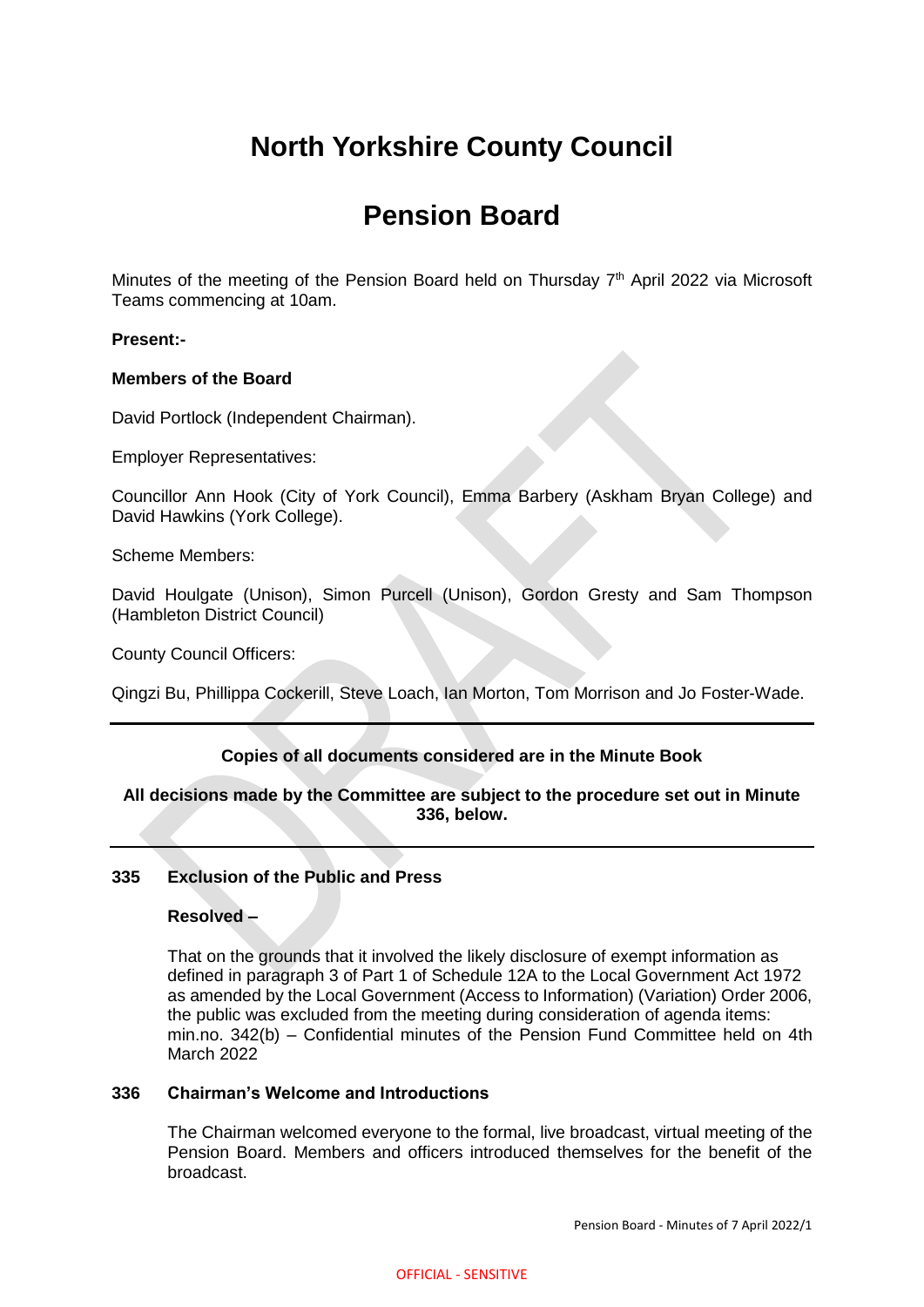# **North Yorkshire County Council**

# **Pension Board**

Minutes of the meeting of the Pension Board held on Thursday 7<sup>th</sup> April 2022 via Microsoft Teams commencing at 10am.

## **Present:-**

## **Members of the Board**

David Portlock (Independent Chairman).

Employer Representatives:

Councillor Ann Hook (City of York Council), Emma Barbery (Askham Bryan College) and David Hawkins (York College).

Scheme Members:

David Houlgate (Unison), Simon Purcell (Unison), Gordon Gresty and Sam Thompson (Hambleton District Council)

County Council Officers:

Qingzi Bu, Phillippa Cockerill, Steve Loach, Ian Morton, Tom Morrison and Jo Foster-Wade.

## **Copies of all documents considered are in the Minute Book**

## **All decisions made by the Committee are subject to the procedure set out in Minute 336, below.**

## **335 Exclusion of the Public and Press**

#### **Resolved –**

That on the grounds that it involved the likely disclosure of exempt information as defined in paragraph 3 of Part 1 of Schedule 12A to the Local Government Act 1972 as amended by the Local Government (Access to Information) (Variation) Order 2006, the public was excluded from the meeting during consideration of agenda items: min.no. 342(b) – Confidential minutes of the Pension Fund Committee held on 4th March 2022

### **336 Chairman's Welcome and Introductions**

The Chairman welcomed everyone to the formal, live broadcast, virtual meeting of the Pension Board. Members and officers introduced themselves for the benefit of the broadcast.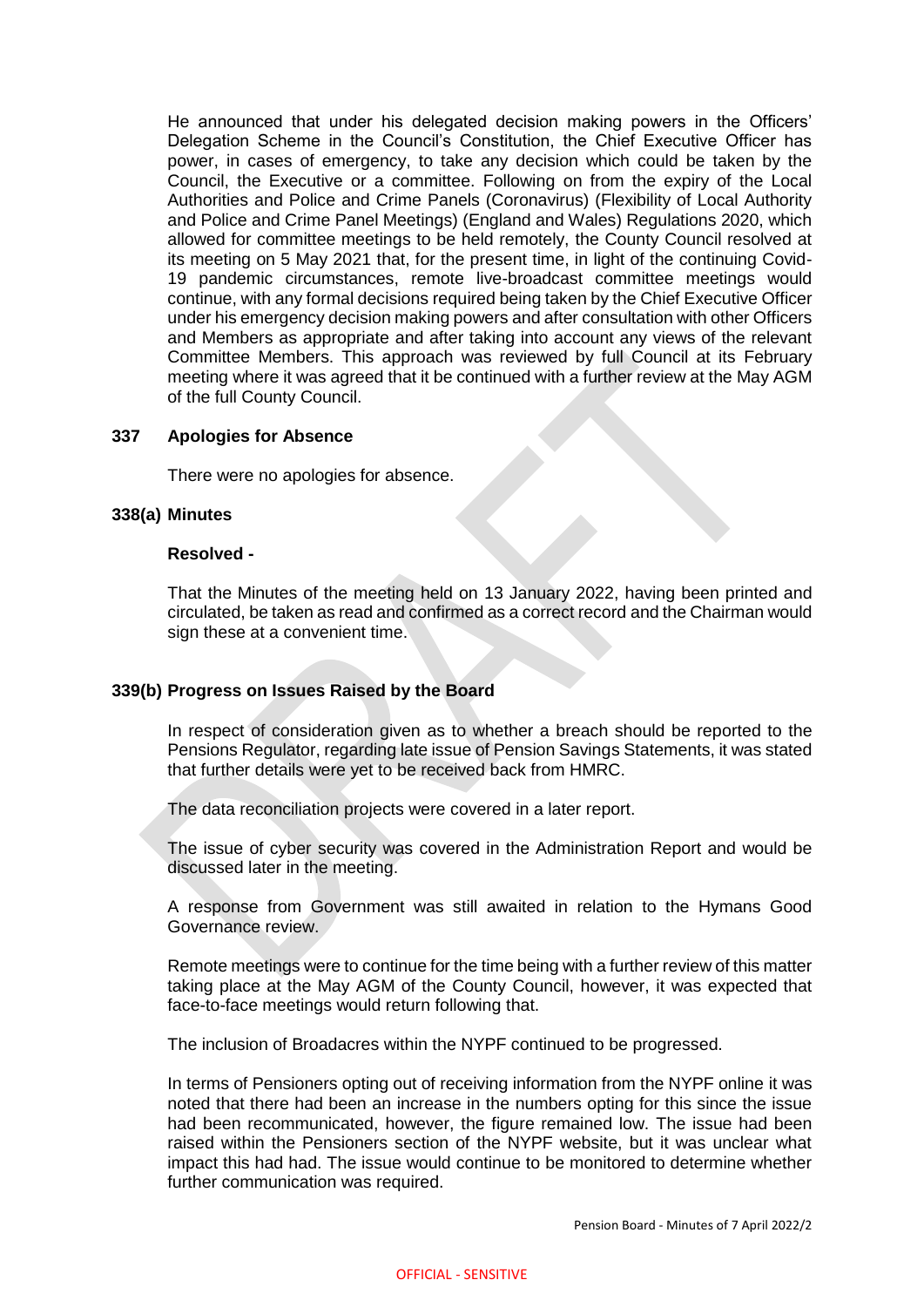He announced that under his delegated decision making powers in the Officers' Delegation Scheme in the Council's Constitution, the Chief Executive Officer has power, in cases of emergency, to take any decision which could be taken by the Council, the Executive or a committee. Following on from the expiry of the Local Authorities and Police and Crime Panels (Coronavirus) (Flexibility of Local Authority and Police and Crime Panel Meetings) (England and Wales) Regulations 2020, which allowed for committee meetings to be held remotely, the County Council resolved at its meeting on 5 May 2021 that, for the present time, in light of the continuing Covid-19 pandemic circumstances, remote live-broadcast committee meetings would continue, with any formal decisions required being taken by the Chief Executive Officer under his emergency decision making powers and after consultation with other Officers and Members as appropriate and after taking into account any views of the relevant Committee Members. This approach was reviewed by full Council at its February meeting where it was agreed that it be continued with a further review at the May AGM of the full County Council.

#### **337 Apologies for Absence**

There were no apologies for absence.

#### **338(a) Minutes**

#### **Resolved -**

That the Minutes of the meeting held on 13 January 2022, having been printed and circulated, be taken as read and confirmed as a correct record and the Chairman would sign these at a convenient time.

### **339(b) Progress on Issues Raised by the Board**

In respect of consideration given as to whether a breach should be reported to the Pensions Regulator, regarding late issue of Pension Savings Statements, it was stated that further details were yet to be received back from HMRC.

The data reconciliation projects were covered in a later report.

The issue of cyber security was covered in the Administration Report and would be discussed later in the meeting.

A response from Government was still awaited in relation to the Hymans Good Governance review.

Remote meetings were to continue for the time being with a further review of this matter taking place at the May AGM of the County Council, however, it was expected that face-to-face meetings would return following that.

The inclusion of Broadacres within the NYPF continued to be progressed.

In terms of Pensioners opting out of receiving information from the NYPF online it was noted that there had been an increase in the numbers opting for this since the issue had been recommunicated, however, the figure remained low. The issue had been raised within the Pensioners section of the NYPF website, but it was unclear what impact this had had. The issue would continue to be monitored to determine whether further communication was required.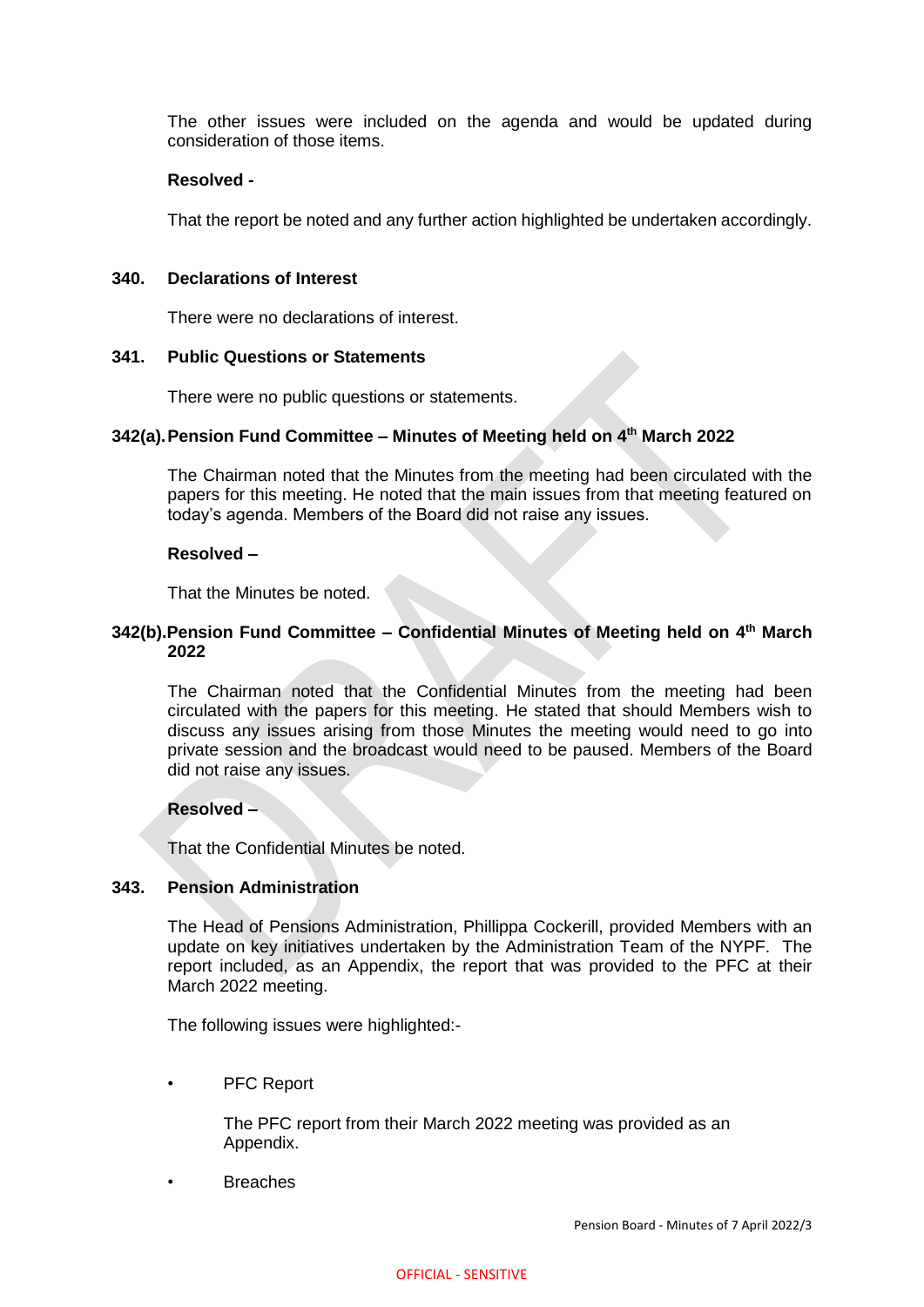The other issues were included on the agenda and would be updated during consideration of those items.

## **Resolved -**

That the report be noted and any further action highlighted be undertaken accordingly.

### **340. Declarations of Interest**

There were no declarations of interest.

## **341. Public Questions or Statements**

There were no public questions or statements.

## **342(a).Pension Fund Committee – Minutes of Meeting held on 4 th March 2022**

The Chairman noted that the Minutes from the meeting had been circulated with the papers for this meeting. He noted that the main issues from that meeting featured on today's agenda. Members of the Board did not raise any issues.

## **Resolved –**

That the Minutes be noted.

## **342(b).Pension Fund Committee – Confidential Minutes of Meeting held on 4 th March 2022**

The Chairman noted that the Confidential Minutes from the meeting had been circulated with the papers for this meeting. He stated that should Members wish to discuss any issues arising from those Minutes the meeting would need to go into private session and the broadcast would need to be paused. Members of the Board did not raise any issues.

## **Resolved –**

That the Confidential Minutes be noted.

#### **343. Pension Administration**

The Head of Pensions Administration, Phillippa Cockerill, provided Members with an update on key initiatives undertaken by the Administration Team of the NYPF. The report included, as an Appendix, the report that was provided to the PFC at their March 2022 meeting.

The following issues were highlighted:-

PFC Report

The PFC report from their March 2022 meeting was provided as an Appendix.

• Breaches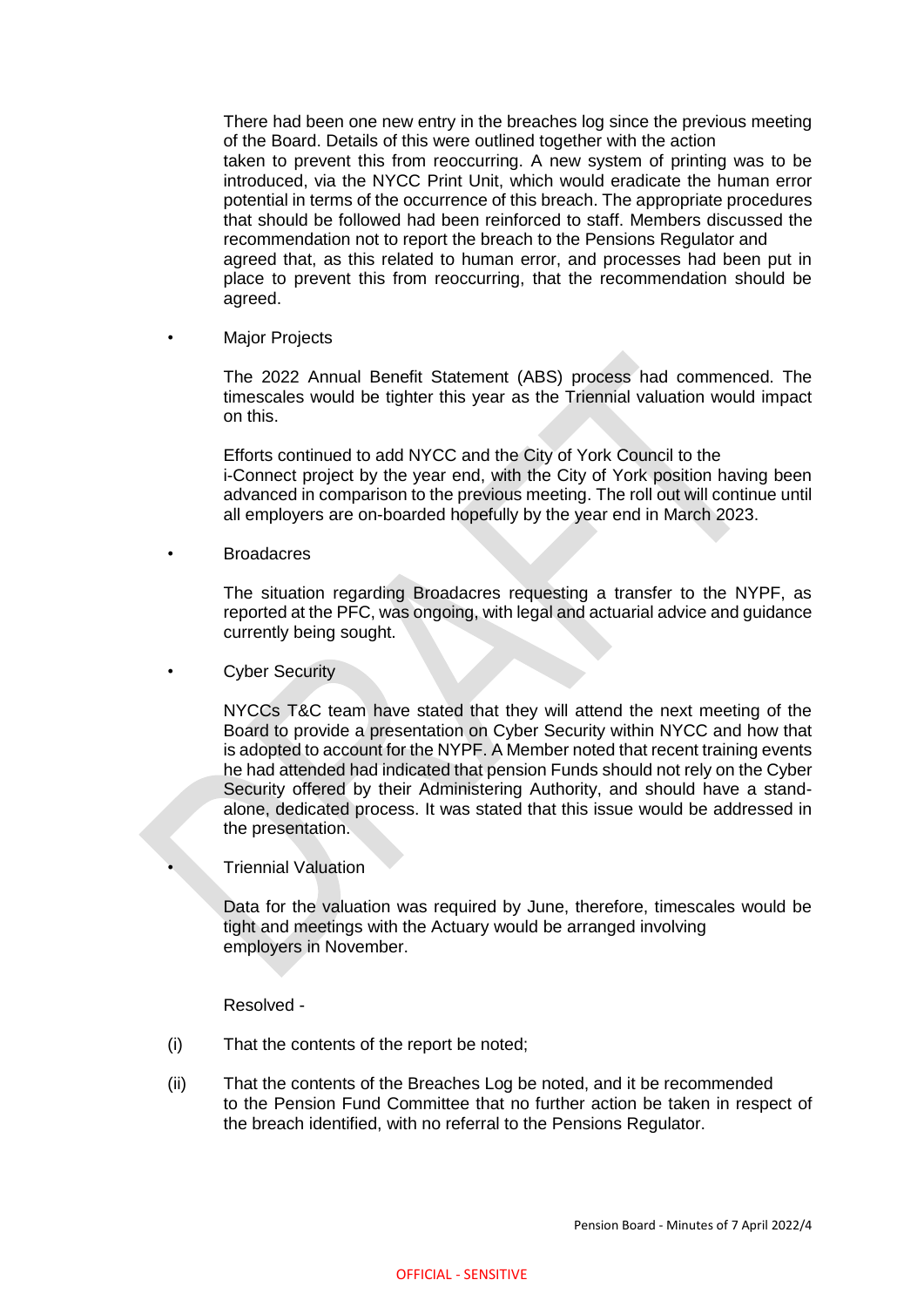There had been one new entry in the breaches log since the previous meeting of the Board. Details of this were outlined together with the action taken to prevent this from reoccurring. A new system of printing was to be introduced, via the NYCC Print Unit, which would eradicate the human error potential in terms of the occurrence of this breach. The appropriate procedures that should be followed had been reinforced to staff. Members discussed the recommendation not to report the breach to the Pensions Regulator and agreed that, as this related to human error, and processes had been put in place to prevent this from reoccurring, that the recommendation should be agreed.

**Major Projects** 

The 2022 Annual Benefit Statement (ABS) process had commenced. The timescales would be tighter this year as the Triennial valuation would impact on this.

Efforts continued to add NYCC and the City of York Council to the i-Connect project by the year end, with the City of York position having been advanced in comparison to the previous meeting. The roll out will continue until all employers are on-boarded hopefully by the year end in March 2023.

**Broadacres** 

The situation regarding Broadacres requesting a transfer to the NYPF, as reported at the PFC, was ongoing, with legal and actuarial advice and guidance currently being sought.

**Cyber Security** 

NYCCs T&C team have stated that they will attend the next meeting of the Board to provide a presentation on Cyber Security within NYCC and how that is adopted to account for the NYPF. A Member noted that recent training events he had attended had indicated that pension Funds should not rely on the Cyber Security offered by their Administering Authority, and should have a standalone, dedicated process. It was stated that this issue would be addressed in the presentation.

## • Triennial Valuation

Data for the valuation was required by June, therefore, timescales would be tight and meetings with the Actuary would be arranged involving employers in November.

#### Resolved -

- (i) That the contents of the report be noted;
- (ii) That the contents of the Breaches Log be noted, and it be recommended to the Pension Fund Committee that no further action be taken in respect of the breach identified, with no referral to the Pensions Regulator.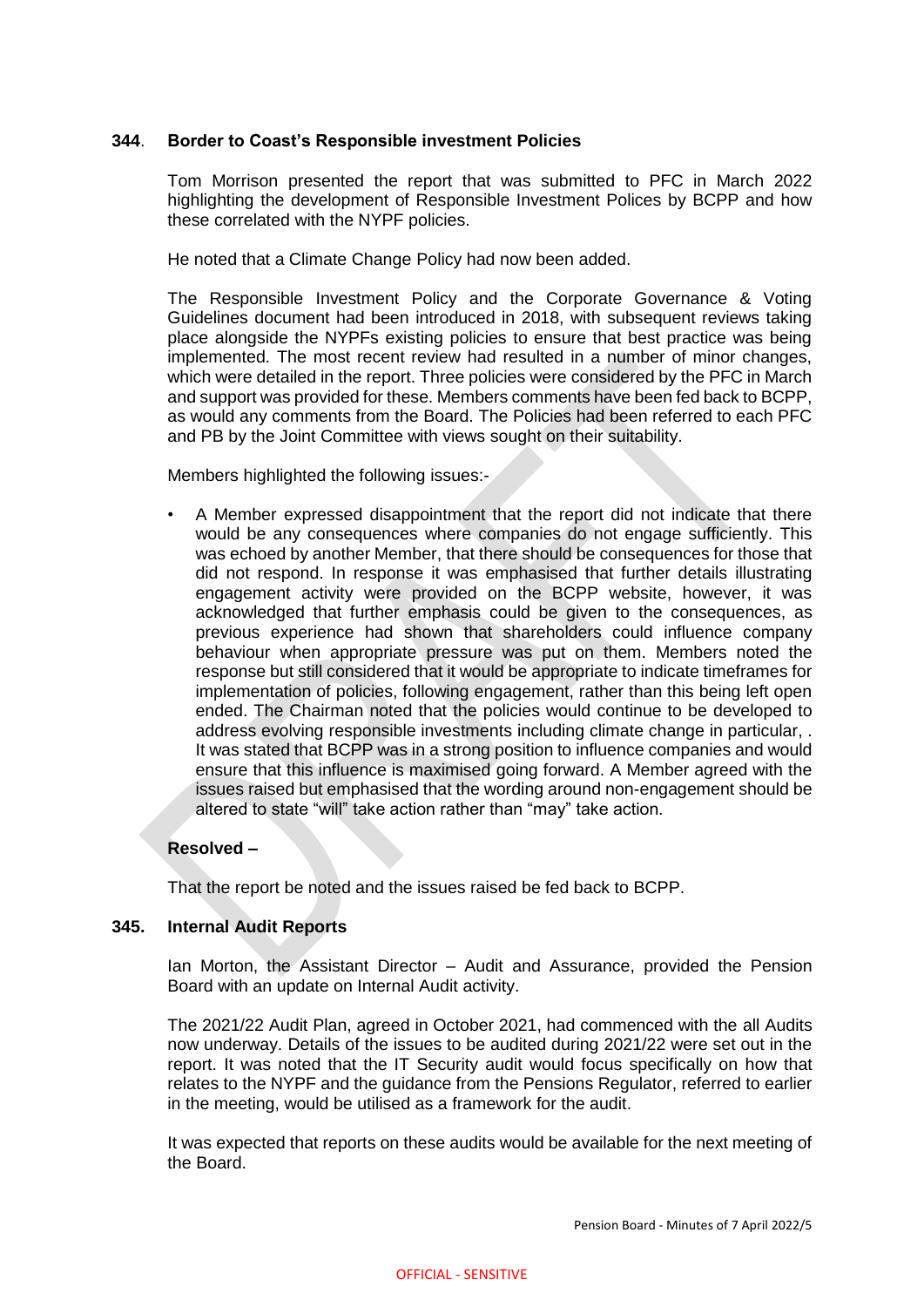## **344**. **Border to Coast's Responsible investment Policies**

Tom Morrison presented the report that was submitted to PFC in March 2022 highlighting the development of Responsible Investment Polices by BCPP and how these correlated with the NYPF policies.

He noted that a Climate Change Policy had now been added.

The Responsible Investment Policy and the Corporate Governance & Voting Guidelines document had been introduced in 2018, with subsequent reviews taking place alongside the NYPFs existing policies to ensure that best practice was being implemented. The most recent review had resulted in a number of minor changes, which were detailed in the report. Three policies were considered by the PFC in March and support was provided for these. Members comments have been fed back to BCPP, as would any comments from the Board. The Policies had been referred to each PFC and PB by the Joint Committee with views sought on their suitability.

Members highlighted the following issues:-

• A Member expressed disappointment that the report did not indicate that there would be any consequences where companies do not engage sufficiently. This was echoed by another Member, that there should be consequences for those that did not respond. In response it was emphasised that further details illustrating engagement activity were provided on the BCPP website, however, it was acknowledged that further emphasis could be given to the consequences, as previous experience had shown that shareholders could influence company behaviour when appropriate pressure was put on them. Members noted the response but still considered that it would be appropriate to indicate timeframes for implementation of policies, following engagement, rather than this being left open ended. The Chairman noted that the policies would continue to be developed to address evolving responsible investments including climate change in particular, . It was stated that BCPP was in a strong position to influence companies and would ensure that this influence is maximised going forward. A Member agreed with the issues raised but emphasised that the wording around non-engagement should be altered to state "will" take action rather than "may" take action.

## **Resolved –**

That the report be noted and the issues raised be fed back to BCPP.

# **345. Internal Audit Reports**

Ian Morton, the Assistant Director – Audit and Assurance, provided the Pension Board with an update on Internal Audit activity.

The 2021/22 Audit Plan, agreed in October 2021, had commenced with the all Audits now underway. Details of the issues to be audited during 2021/22 were set out in the report. It was noted that the IT Security audit would focus specifically on how that relates to the NYPF and the guidance from the Pensions Regulator, referred to earlier in the meeting, would be utilised as a framework for the audit.

It was expected that reports on these audits would be available for the next meeting of the Board.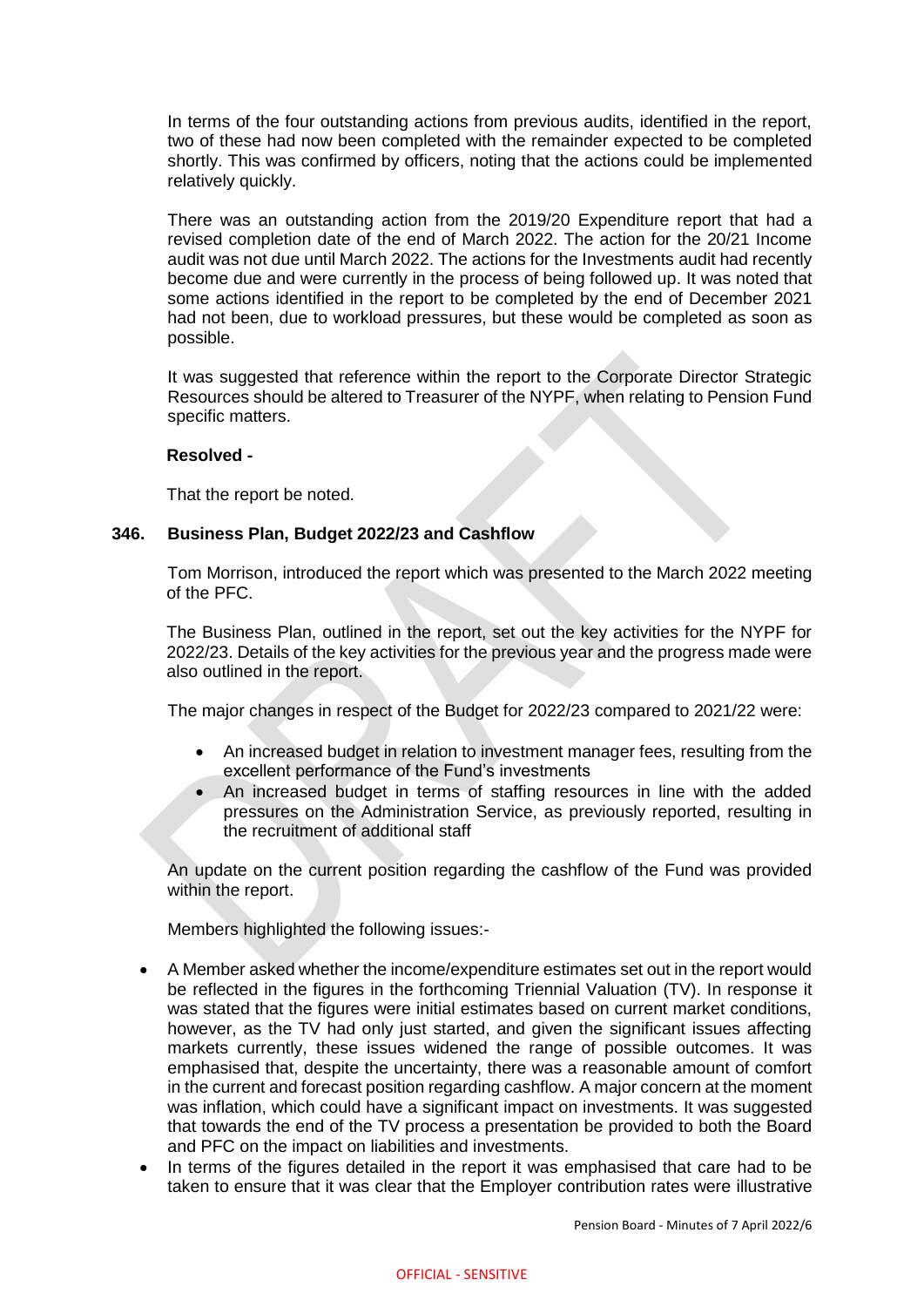In terms of the four outstanding actions from previous audits, identified in the report, two of these had now been completed with the remainder expected to be completed shortly. This was confirmed by officers, noting that the actions could be implemented relatively quickly.

There was an outstanding action from the 2019/20 Expenditure report that had a revised completion date of the end of March 2022. The action for the 20/21 Income audit was not due until March 2022. The actions for the Investments audit had recently become due and were currently in the process of being followed up. It was noted that some actions identified in the report to be completed by the end of December 2021 had not been, due to workload pressures, but these would be completed as soon as possible.

It was suggested that reference within the report to the Corporate Director Strategic Resources should be altered to Treasurer of the NYPF, when relating to Pension Fund specific matters.

## **Resolved -**

That the report be noted.

## **346. Business Plan, Budget 2022/23 and Cashflow**

Tom Morrison, introduced the report which was presented to the March 2022 meeting of the PFC.

The Business Plan, outlined in the report, set out the key activities for the NYPF for 2022/23. Details of the key activities for the previous year and the progress made were also outlined in the report.

The major changes in respect of the Budget for 2022/23 compared to 2021/22 were:

- An increased budget in relation to investment manager fees, resulting from the excellent performance of the Fund's investments
- An increased budget in terms of staffing resources in line with the added pressures on the Administration Service, as previously reported, resulting in the recruitment of additional staff

An update on the current position regarding the cashflow of the Fund was provided within the report.

Members highlighted the following issues:-

- A Member asked whether the income/expenditure estimates set out in the report would be reflected in the figures in the forthcoming Triennial Valuation (TV). In response it was stated that the figures were initial estimates based on current market conditions, however, as the TV had only just started, and given the significant issues affecting markets currently, these issues widened the range of possible outcomes. It was emphasised that, despite the uncertainty, there was a reasonable amount of comfort in the current and forecast position regarding cashflow. A major concern at the moment was inflation, which could have a significant impact on investments. It was suggested that towards the end of the TV process a presentation be provided to both the Board and PFC on the impact on liabilities and investments.
- In terms of the figures detailed in the report it was emphasised that care had to be taken to ensure that it was clear that the Employer contribution rates were illustrative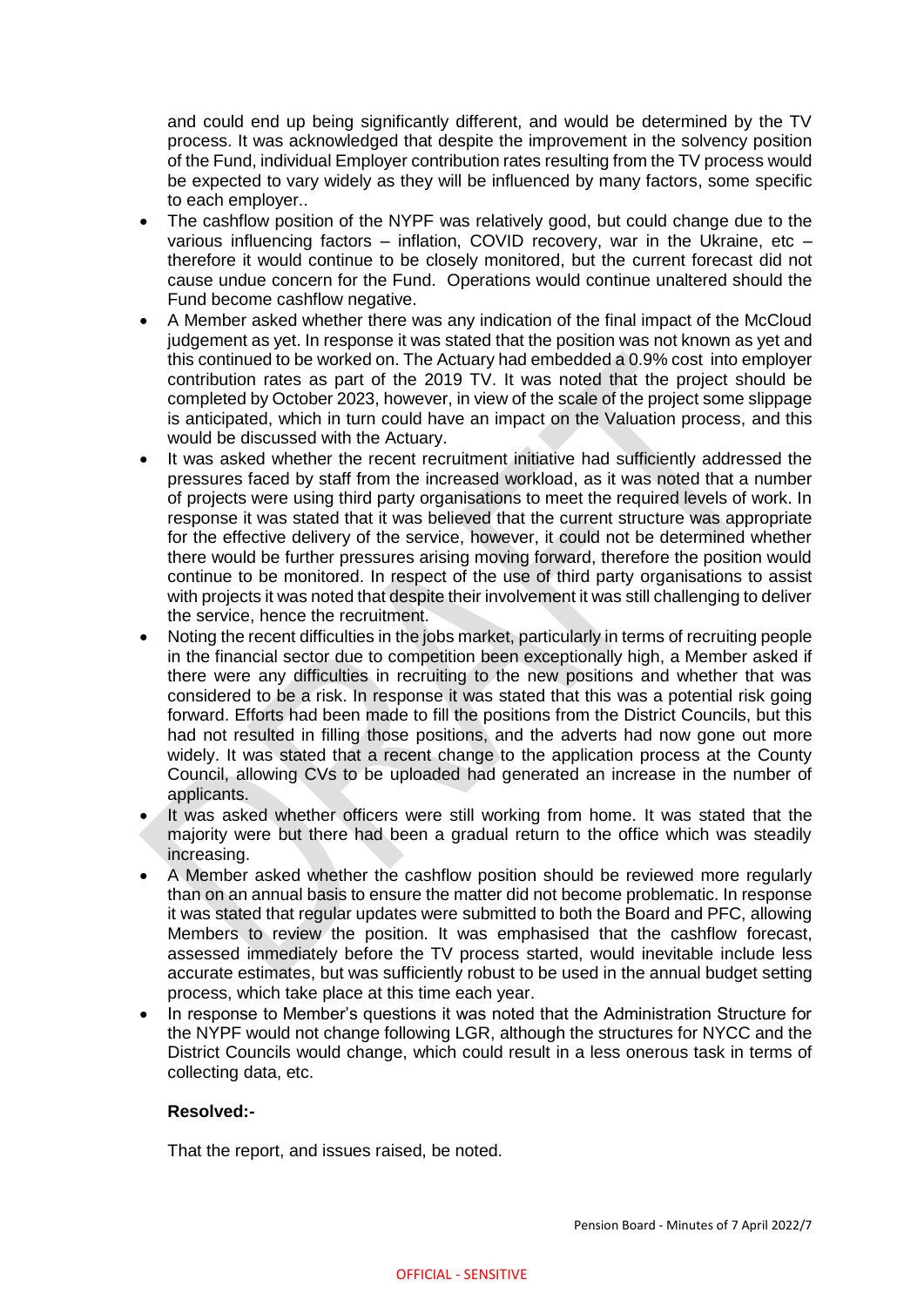and could end up being significantly different, and would be determined by the TV process. It was acknowledged that despite the improvement in the solvency position of the Fund, individual Employer contribution rates resulting from the TV process would be expected to vary widely as they will be influenced by many factors, some specific to each employer..

- The cashflow position of the NYPF was relatively good, but could change due to the various influencing factors – inflation, COVID recovery, war in the Ukraine, etc – therefore it would continue to be closely monitored, but the current forecast did not cause undue concern for the Fund. Operations would continue unaltered should the Fund become cashflow negative.
- A Member asked whether there was any indication of the final impact of the McCloud judgement as yet. In response it was stated that the position was not known as yet and this continued to be worked on. The Actuary had embedded a 0.9% cost into employer contribution rates as part of the 2019 TV. It was noted that the project should be completed by October 2023, however, in view of the scale of the project some slippage is anticipated, which in turn could have an impact on the Valuation process, and this would be discussed with the Actuary.
- It was asked whether the recent recruitment initiative had sufficiently addressed the pressures faced by staff from the increased workload, as it was noted that a number of projects were using third party organisations to meet the required levels of work. In response it was stated that it was believed that the current structure was appropriate for the effective delivery of the service, however, it could not be determined whether there would be further pressures arising moving forward, therefore the position would continue to be monitored. In respect of the use of third party organisations to assist with projects it was noted that despite their involvement it was still challenging to deliver the service, hence the recruitment.
- Noting the recent difficulties in the jobs market, particularly in terms of recruiting people in the financial sector due to competition been exceptionally high, a Member asked if there were any difficulties in recruiting to the new positions and whether that was considered to be a risk. In response it was stated that this was a potential risk going forward. Efforts had been made to fill the positions from the District Councils, but this had not resulted in filling those positions, and the adverts had now gone out more widely. It was stated that a recent change to the application process at the County Council, allowing CVs to be uploaded had generated an increase in the number of applicants.
- It was asked whether officers were still working from home. It was stated that the majority were but there had been a gradual return to the office which was steadily increasing.
- A Member asked whether the cashflow position should be reviewed more regularly than on an annual basis to ensure the matter did not become problematic. In response it was stated that regular updates were submitted to both the Board and PFC, allowing Members to review the position. It was emphasised that the cashflow forecast, assessed immediately before the TV process started, would inevitable include less accurate estimates, but was sufficiently robust to be used in the annual budget setting process, which take place at this time each year.
- In response to Member's questions it was noted that the Administration Structure for the NYPF would not change following LGR, although the structures for NYCC and the District Councils would change, which could result in a less onerous task in terms of collecting data, etc.

## **Resolved:-**

That the report, and issues raised, be noted.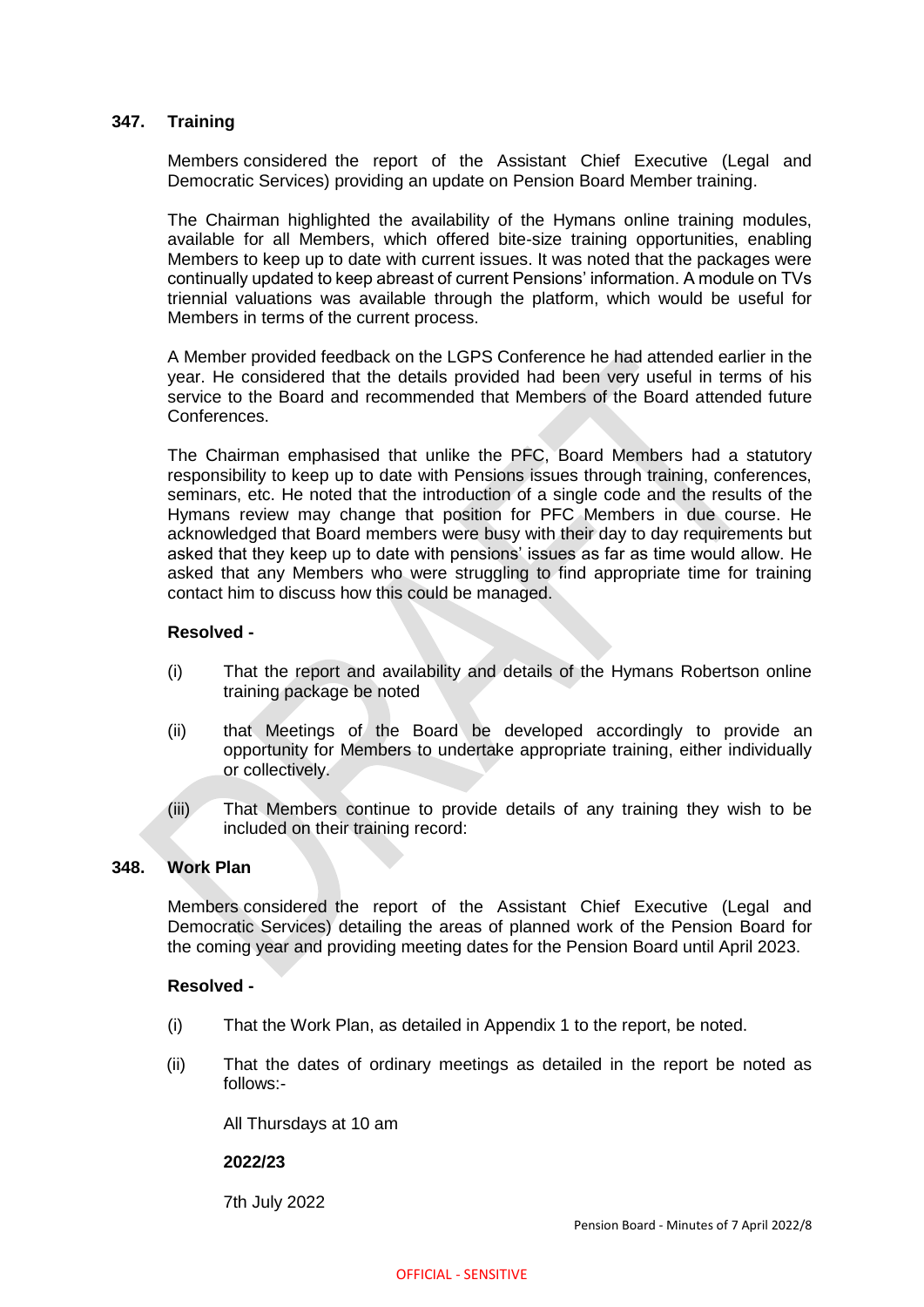## **347. Training**

Members considered the report of the Assistant Chief Executive (Legal and Democratic Services) providing an update on Pension Board Member training.

The Chairman highlighted the availability of the Hymans online training modules, available for all Members, which offered bite-size training opportunities, enabling Members to keep up to date with current issues. It was noted that the packages were continually updated to keep abreast of current Pensions' information. A module on TVs triennial valuations was available through the platform, which would be useful for Members in terms of the current process.

A Member provided feedback on the LGPS Conference he had attended earlier in the year. He considered that the details provided had been very useful in terms of his service to the Board and recommended that Members of the Board attended future Conferences.

The Chairman emphasised that unlike the PFC, Board Members had a statutory responsibility to keep up to date with Pensions issues through training, conferences, seminars, etc. He noted that the introduction of a single code and the results of the Hymans review may change that position for PFC Members in due course. He acknowledged that Board members were busy with their day to day requirements but asked that they keep up to date with pensions' issues as far as time would allow. He asked that any Members who were struggling to find appropriate time for training contact him to discuss how this could be managed.

## **Resolved -**

- (i) That the report and availability and details of the Hymans Robertson online training package be noted
- (ii) that Meetings of the Board be developed accordingly to provide an opportunity for Members to undertake appropriate training, either individually or collectively.
- (iii) That Members continue to provide details of any training they wish to be included on their training record:

#### **348. Work Plan**

Members considered the report of the Assistant Chief Executive (Legal and Democratic Services) detailing the areas of planned work of the Pension Board for the coming year and providing meeting dates for the Pension Board until April 2023.

#### **Resolved -**

- (i) That the Work Plan, as detailed in Appendix 1 to the report, be noted.
- (ii) That the dates of ordinary meetings as detailed in the report be noted as follows:-

All Thursdays at 10 am

#### **2022/23**

7th July 2022